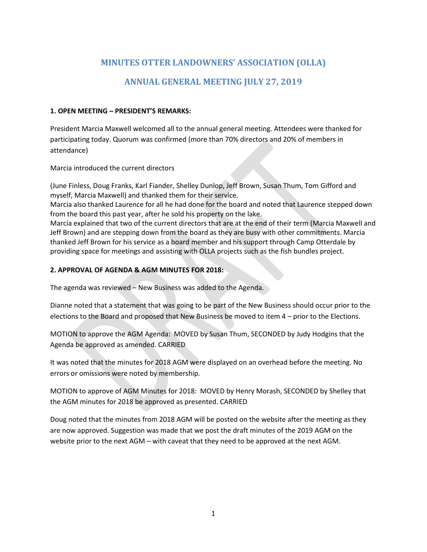# **MINUTES OTTER LANDOWNERS' ASSOCIATION (OLLA)**

# **ANNUAL GENERAL MEETING JULY 27, 2019**

### **1. OPEN MEETING – PRESIDENT'S REMARKS:**

President Marcia Maxwell welcomed all to the annual general meeting. Attendees were thanked for participating today. Quorum was confirmed (more than 70% directors and 20% of members in attendance)

Marcia introduced the current directors

(June Finless, Doug Franks, Karl Fiander, Shelley Dunlop, Jeff Brown, Susan Thum, Tom Gifford and myself, Marcia Maxwell) and thanked them for their service.

Marcia also thanked Laurence for all he had done for the board and noted that Laurence stepped down from the board this past year, after he sold his property on the lake.

Marcia explained that two of the current directors that are at the end of their term (Marcia Maxwell and Jeff Brown) and are stepping down from the board as they are busy with other commitments. Marcia thanked Jeff Brown for his service as a board member and his support through Camp Otterdale by providing space for meetings and assisting with OLLA projects such as the fish bundles project.

## **2. APPROVAL OF AGENDA & AGM MINUTES FOR 2018:**

The agenda was reviewed – New Business was added to the Agenda.

Dianne noted that a statement that was going to be part of the New Business should occur prior to the elections to the Board and proposed that New Business be moved to item 4 – prior to the Elections.

MOTION to approve the AGM Agenda: MOVED by Susan Thum, SECONDED by Judy Hodgins that the Agenda be approved as amended. CARRIED

It was noted that the minutes for 2018 AGM were displayed on an overhead before the meeting. No errors or omissions were noted by membership.

MOTION to approve of AGM Minutes for 2018: MOVED by Henry Morash, SECONDED by Shelley that the AGM minutes for 2018 be approved as presented. CARRIED

Doug noted that the minutes from 2018 AGM will be posted on the website after the meeting as they are now approved. Suggestion was made that we post the draft minutes of the 2019 AGM on the website prior to the next AGM – with caveat that they need to be approved at the next AGM.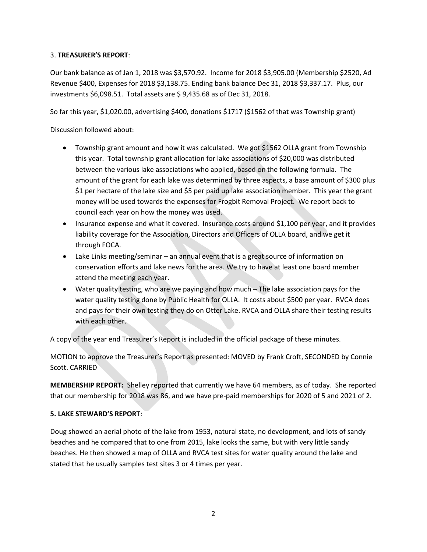#### 3. **TREASURER'S REPORT**:

Our bank balance as of Jan 1, 2018 was \$3,570.92. Income for 2018 \$3,905.00 (Membership \$2520, Ad Revenue \$400, Expenses for 2018 \$3,138.75. Ending bank balance Dec 31, 2018 \$3,337.17. Plus, our investments \$6,098.51. Total assets are \$ 9,435.68 as of Dec 31, 2018.

So far this year, \$1,020.00, advertising \$400, donations \$1717 (\$1562 of that was Township grant)

Discussion followed about:

- Township grant amount and how it was calculated. We got \$1562 OLLA grant from Township this year. Total township grant allocation for lake associations of \$20,000 was distributed between the various lake associations who applied, based on the following formula. The amount of the grant for each lake was determined by three aspects, a base amount of \$300 plus \$1 per hectare of the lake size and \$5 per paid up lake association member. This year the grant money will be used towards the expenses for Frogbit Removal Project. We report back to council each year on how the money was used.
- Insurance expense and what it covered. Insurance costs around \$1,100 per year, and it provides liability coverage for the Association, Directors and Officers of OLLA board, and we get it through FOCA.
- Lake Links meeting/seminar an annual event that is a great source of information on conservation efforts and lake news for the area. We try to have at least one board member attend the meeting each year.
- Water quality testing, who are we paying and how much The lake association pays for the water quality testing done by Public Health for OLLA. It costs about \$500 per year. RVCA does and pays for their own testing they do on Otter Lake. RVCA and OLLA share their testing results with each other.

A copy of the year end Treasurer's Report is included in the official package of these minutes.

MOTION to approve the Treasurer's Report as presented: MOVED by Frank Croft, SECONDED by Connie Scott. CARRIED

**MEMBERSHIP REPORT:** Shelley reported that currently we have 64 members, as of today. She reported that our membership for 2018 was 86, and we have pre-paid memberships for 2020 of 5 and 2021 of 2.

#### **5. LAKE STEWARD'S REPORT**:

Doug showed an aerial photo of the lake from 1953, natural state, no development, and lots of sandy beaches and he compared that to one from 2015, lake looks the same, but with very little sandy beaches. He then showed a map of OLLA and RVCA test sites for water quality around the lake and stated that he usually samples test sites 3 or 4 times per year.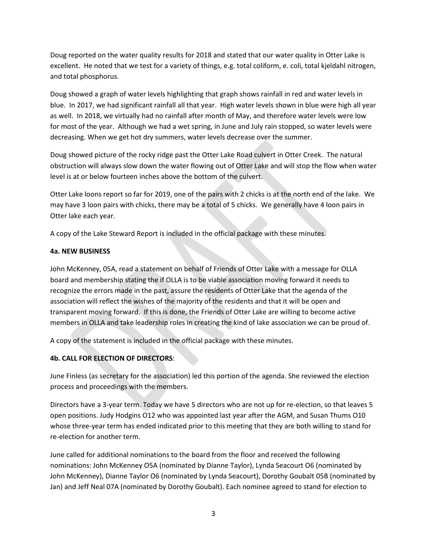Doug reported on the water quality results for 2018 and stated that our water quality in Otter Lake is excellent. He noted that we test for a variety of things, e.g. total coliform, e. coli, total kjeldahl nitrogen, and total phosphorus.

Doug showed a graph of water levels highlighting that graph shows rainfall in red and water levels in blue. In 2017, we had significant rainfall all that year. High water levels shown in blue were high all year as well. In 2018, we virtually had no rainfall after month of May, and therefore water levels were low for most of the year. Although we had a wet spring, in June and July rain stopped, so water levels were decreasing. When we get hot dry summers, water levels decrease over the summer.

Doug showed picture of the rocky ridge past the Otter Lake Road culvert in Otter Creek. The natural obstruction will always slow down the water flowing out of Otter Lake and will stop the flow when water level is at or below fourteen inches above the bottom of the culvert.

Otter Lake loons report so far for 2019, one of the pairs with 2 chicks is at the north end of the lake. We may have 3 loon pairs with chicks, there may be a total of 5 chicks. We generally have 4 loon pairs in Otter lake each year.

A copy of the Lake Steward Report is included in the official package with these minutes.

## **4a. NEW BUSINESS**

John McKenney, 05A, read a statement on behalf of Friends of Otter Lake with a message for OLLA board and membership stating the if OLLA is to be viable association moving forward it needs to recognize the errors made in the past, assure the residents of Otter Lake that the agenda of the association will reflect the wishes of the majority of the residents and that it will be open and transparent moving forward. If this is done, the Friends of Otter Lake are willing to become active members in OLLA and take leadership roles in creating the kind of lake association we can be proud of.

A copy of the statement is included in the official package with these minutes.

## **4b. CALL FOR ELECTION OF DIRECTORS**:

June Finless (as secretary for the association) led this portion of the agenda. She reviewed the election process and proceedings with the members.

Directors have a 3-year term. Today we have 5 directors who are not up for re-election, so that leaves 5 open positions. Judy Hodgins O12 who was appointed last year after the AGM, and Susan Thums O10 whose three-year term has ended indicated prior to this meeting that they are both willing to stand for re-election for another term.

June called for additional nominations to the board from the floor and received the following nominations: John McKenney O5A (nominated by Dianne Taylor), Lynda Seacourt O6 (nominated by John McKenney), Dianne Taylor O6 (nominated by Lynda Seacourt), Dorothy Goubalt 05B (nominated by Jan) and Jeff Neal 07A (nominated by Dorothy Goubalt). Each nominee agreed to stand for election to